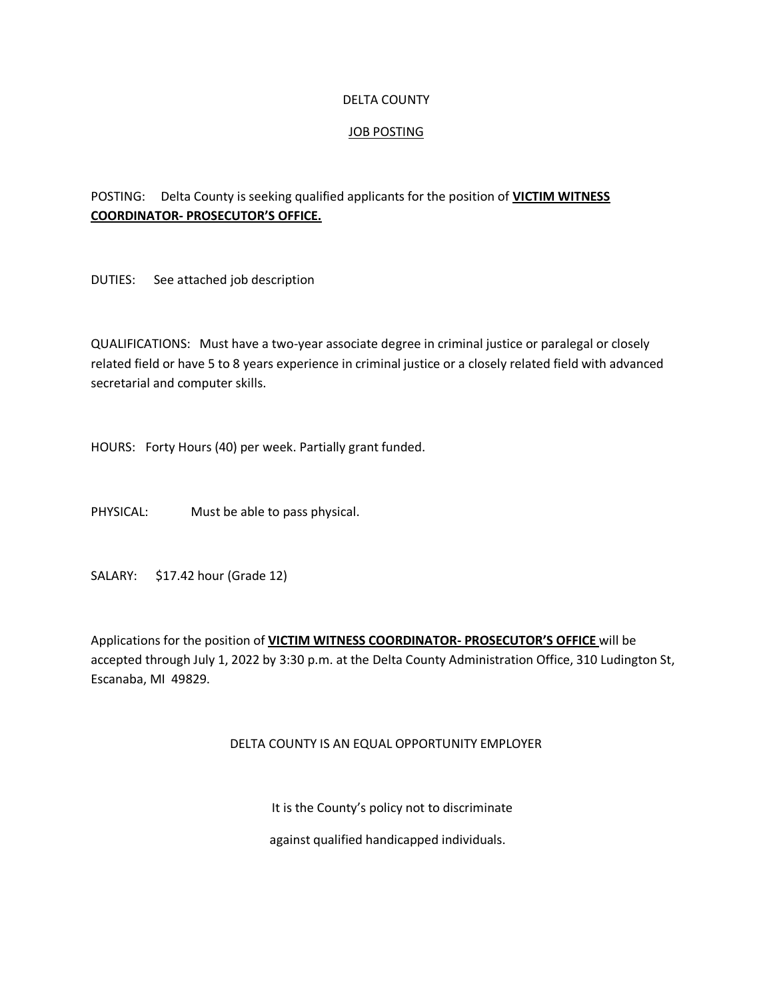#### DELTA COUNTY

### JOB POSTING

## POSTING: Delta County is seeking qualified applicants for the position of **VICTIM WITNESS COORDINATOR- PROSECUTOR'S OFFICE.**

DUTIES: See attached job description

QUALIFICATIONS: Must have a two-year associate degree in criminal justice or paralegal or closely related field or have 5 to 8 years experience in criminal justice or a closely related field with advanced secretarial and computer skills.

HOURS: Forty Hours (40) per week. Partially grant funded.

PHYSICAL: Must be able to pass physical.

SALARY: \$17.42 hour (Grade 12)

Applications for the position of **VICTIM WITNESS COORDINATOR- PROSECUTOR'S OFFICE** will be accepted through July 1, 2022 by 3:30 p.m. at the Delta County Administration Office, 310 Ludington St, Escanaba, MI 49829.

#### DELTA COUNTY IS AN EQUAL OPPORTUNITY EMPLOYER

It is the County's policy not to discriminate

against qualified handicapped individuals.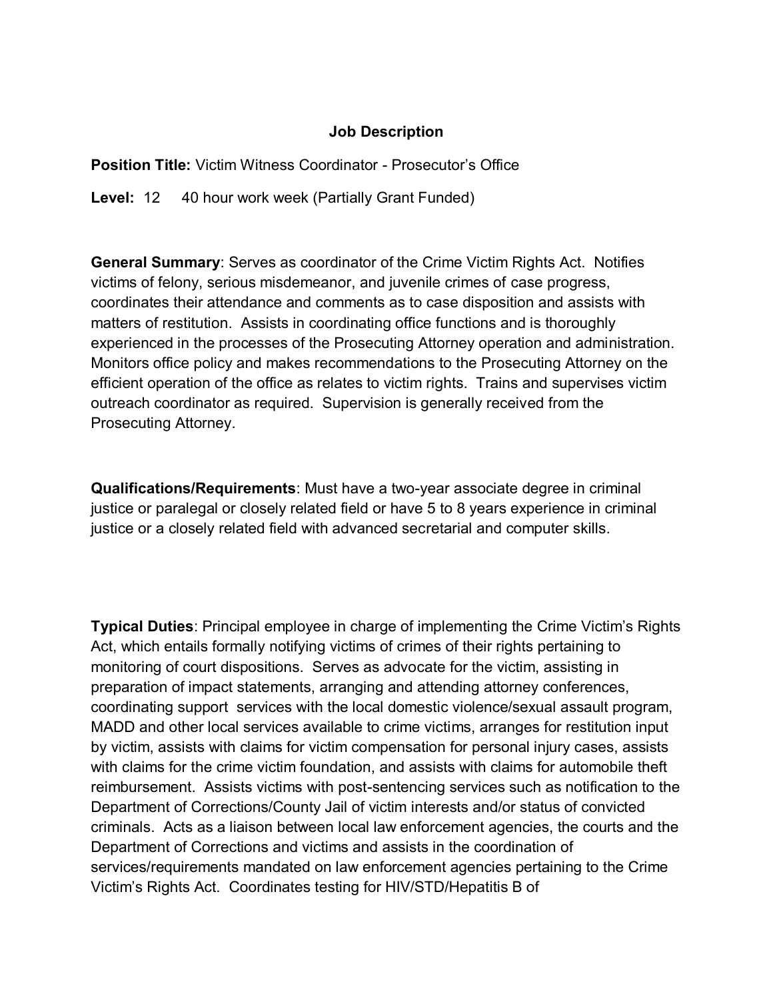# **Job Description**

**Position Title:** Victim Witness Coordinator - Prosecutor's Office

Level: 12 40 hour work week (Partially Grant Funded)

**General Summary**: Serves as coordinator of the Crime Victim Rights Act. Notifies victims of felony, serious misdemeanor, and juvenile crimes of case progress, coordinates their attendance and comments as to case disposition and assists with matters of restitution. Assists in coordinating office functions and is thoroughly experienced in the processes of the Prosecuting Attorney operation and administration. Monitors office policy and makes recommendations to the Prosecuting Attorney on the efficient operation of the office as relates to victim rights. Trains and supervises victim outreach coordinator as required. Supervision is generally received from the Prosecuting Attorney.

**Qualifications/Requirements**: Must have a two-year associate degree in criminal justice or paralegal or closely related field or have 5 to 8 years experience in criminal justice or a closely related field with advanced secretarial and computer skills.

**Typical Duties**: Principal employee in charge of implementing the Crime Victim's Rights Act, which entails formally notifying victims of crimes of their rights pertaining to monitoring of court dispositions. Serves as advocate for the victim, assisting in preparation of impact statements, arranging and attending attorney conferences, coordinating support services with the local domestic violence/sexual assault program, MADD and other local services available to crime victims, arranges for restitution input by victim, assists with claims for victim compensation for personal injury cases, assists with claims for the crime victim foundation, and assists with claims for automobile theft reimbursement. Assists victims with post-sentencing services such as notification to the Department of Corrections/County Jail of victim interests and/or status of convicted criminals. Acts as a liaison between local law enforcement agencies, the courts and the Department of Corrections and victims and assists in the coordination of services/requirements mandated on law enforcement agencies pertaining to the Crime Victim's Rights Act. Coordinates testing for HIV/STD/Hepatitis B of